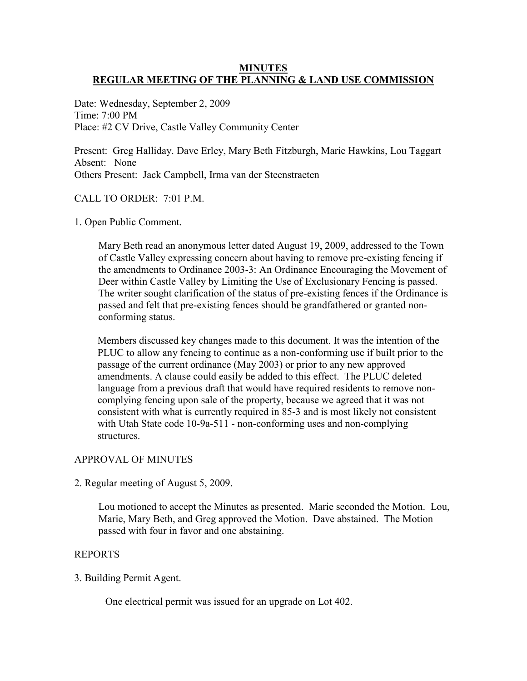## **MINUTES REGULAR MEETING OF THE PLANNING & LAND USE COMMISSION**

Date: Wednesday, September 2, 2009 Time: 7:00 PM Place: #2 CV Drive, Castle Valley Community Center

Present: Greg Halliday. Dave Erley, Mary Beth Fitzburgh, Marie Hawkins, Lou Taggart Absent: None Others Present: Jack Campbell, Irma van der Steenstraeten

### CALL TO ORDER: 7:01 P.M.

1. Open Public Comment.

Mary Beth read an anonymous letter dated August 19, 2009, addressed to the Town of Castle Valley expressing concern about having to remove pre-existing fencing if the amendments to Ordinance 2003-3: An Ordinance Encouraging the Movement of Deer within Castle Valley by Limiting the Use of Exclusionary Fencing is passed. The writer sought clarification of the status of pre-existing fences if the Ordinance is passed and felt that pre-existing fences should be grandfathered or granted nonconforming status.

Members discussed key changes made to this document. It was the intention of the PLUC to allow any fencing to continue as a non-conforming use if built prior to the passage of the current ordinance (May 2003) or prior to any new approved amendments. A clause could easily be added to this effect. The PLUC deleted language from a previous draft that would have required residents to remove noncomplying fencing upon sale of the property, because we agreed that it was not consistent with what is currently required in 85-3 and is most likely not consistent with Utah State code 10-9a-511 - non-conforming uses and non-complying structures.

## APPROVAL OF MINUTES

## 2. Regular meeting of August 5, 2009.

Lou motioned to accept the Minutes as presented. Marie seconded the Motion. Lou, Marie, Mary Beth, and Greg approved the Motion. Dave abstained. The Motion passed with four in favor and one abstaining.

#### REPORTS

## 3. Building Permit Agent.

One electrical permit was issued for an upgrade on Lot 402.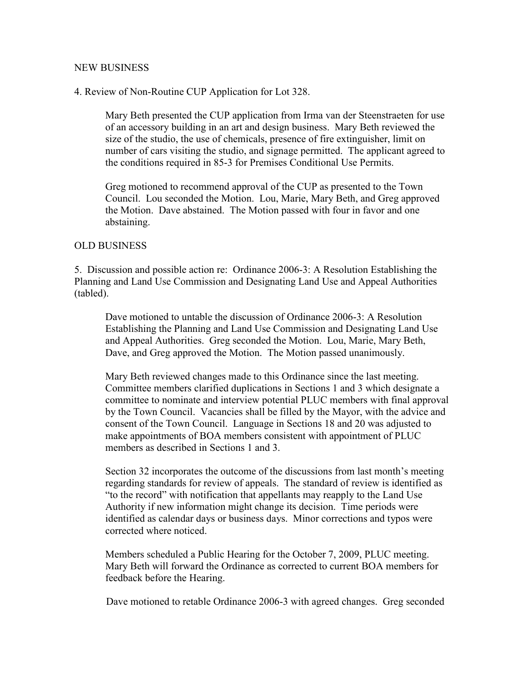#### NEW BUSINESS

## 4. Review of Non-Routine CUP Application for Lot 328.

Mary Beth presented the CUP application from Irma van der Steenstraeten for use of an accessory building in an art and design business. Mary Beth reviewed the size of the studio, the use of chemicals, presence of fire extinguisher, limit on number of cars visiting the studio, and signage permitted. The applicant agreed to the conditions required in 85-3 for Premises Conditional Use Permits.

Greg motioned to recommend approval of the CUP as presented to the Town Council. Lou seconded the Motion. Lou, Marie, Mary Beth, and Greg approved the Motion. Dave abstained. The Motion passed with four in favor and one abstaining.

### OLD BUSINESS

5. Discussion and possible action re: Ordinance 2006-3: A Resolution Establishing the Planning and Land Use Commission and Designating Land Use and Appeal Authorities (tabled).

Dave motioned to untable the discussion of Ordinance 2006-3: A Resolution Establishing the Planning and Land Use Commission and Designating Land Use and Appeal Authorities. Greg seconded the Motion. Lou, Marie, Mary Beth, Dave, and Greg approved the Motion. The Motion passed unanimously.

Mary Beth reviewed changes made to this Ordinance since the last meeting. Committee members clarified duplications in Sections 1 and 3 which designate a committee to nominate and interview potential PLUC members with final approval by the Town Council. Vacancies shall be filled by the Mayor, with the advice and consent of the Town Council. Language in Sections 18 and 20 was adjusted to make appointments of BOA members consistent with appointment of PLUC members as described in Sections 1 and 3.

Section 32 incorporates the outcome of the discussions from last month's meeting regarding standards for review of appeals. The standard of review is identified as "to the record" with notification that appellants may reapply to the Land Use Authority if new information might change its decision. Time periods were identified as calendar days or business days. Minor corrections and typos were corrected where noticed.

Members scheduled a Public Hearing for the October 7, 2009, PLUC meeting. Mary Beth will forward the Ordinance as corrected to current BOA members for feedback before the Hearing.

Dave motioned to retable Ordinance 2006-3 with agreed changes. Greg seconded